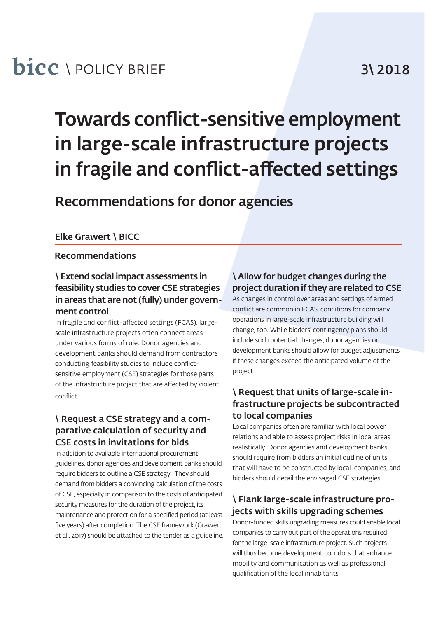## **bicc** \ POLICY BRIEF 3\ 2018

# Towards conflict-sensitive employment in large-scale infrastructure projects in fragile and conflict-affected settings

Recommendations for donor agencies

#### Elke Grawert \ BICC

#### Recommendations

#### \ Extend social impact assessments in feasibility studies to cover CSE strategies in areas that are not (fully) under government control

In fragile and conflict-affected settings (FCAS), largescale infrastructure projects often connect areas under various forms of rule. Donor agencies and development banks should demand from contractors conducting feasibility studies to include conflictsensitive employment (CSE) strategies for those parts of the infrastructure project that are affected by violent conflict.

#### \ Request a CSE strategy and a comparative calculation of security and CSE costs in invitations for bids

In addition to available international procurement guidelines, donor agencies and development banks should require bidders to outline a CSE strategy. They should demand from bidders a convincing calculation of the costs of CSE, especially in comparison to the costs of anticipated security measures for the duration of the project, its maintenance and protection for a specified period (at least five years) after completion. The CSE framework (Grawert et al., 2017) should be attached to the tender as a guideline.

#### \ Allow for budget changes during the project duration if they are related to CSE

As changes in control over areas and settings of armed conflict are common in FCAS, conditions for company operations in large-scale infrastructure building will change, too. While bidders' contingency plans should include such potential changes, donor agencies or development banks should allow for budget adjustments if these changes exceed the anticipated volume of the project

### \ Request that units of large-scale infrastructure projects be subcontracted to local companies

Local companies often are familiar with local power relations and able to assess project risks in local areas realistically. Donor agencies and development banks should require from bidders an initial outline of units that will have to be constructed by local companies, and bidders should detail the envisaged CSE strategies.

### \ Flank large-scale infrastructure projects with skills upgrading schemes

Donor-funded skills upgrading measures could enable local companies to carry out part of the operations required for the large-scale infrastructure project. Such projects will thus become development corridors that enhance mobility and communication as well as professional qualification of the local inhabitants.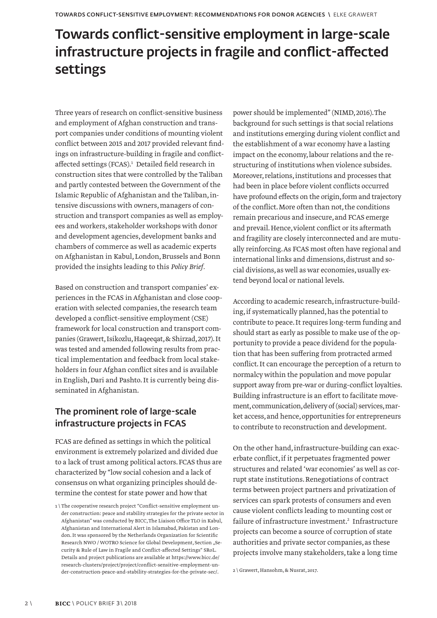### Towards conflict-sensitive employment in large-scale infrastructure projects in fragile and conflict-affected settings

Three years of research on conflict-sensitive business and employment of Afghan construction and transport companies under conditions of mounting violent conflict between 2015 and 2017 provided relevant findings on infrastructure-building in fragile and conflictaffected settings (FCAS).<sup>1</sup> Detailed field research in construction sites that were controlled by the Taliban and partly contested between the Government of the Islamic Republic of Afghanistan and the Taliban, intensive discussions with owners, managers of construction and transport companies as well as employees and workers, stakeholder workshops with donor and development agencies, development banks and chambers of commerce as well as academic experts on Afghanistan in Kabul, London, Brussels and Bonn provided the insights leading to this *Policy Brief.*

Based on construction and transport companies' experiences in the FCAS in Afghanistan and close cooperation with selected companies, the research team developed a conflict-sensitive employment (CSE) framework for local construction and transport companies (Grawert, Isikozlu, Haqeeqat, & Shirzad, 2017). It was tested and amended following results from practical implementation and feedback from local stakeholders in four Afghan conflict sites and is available in English, Dari and Pashto. It is currently being disseminated in Afghanistan.

### The prominent role of large-scale infrastructure projects in FCAS

FCAS are defined as settings in which the political environment is extremely polarized and divided due to a lack of trust among political actors. FCAS thus are characterized by "low social cohesion and a lack of consensus on what organizing principles should determine the contest for state power and how that

power should be implemented" (NIMD, 2016). The background for such settings is that social relations and institutions emerging during violent conflict and the establishment of a war economy have a lasting impact on the economy, labour relations and the restructuring of institutions when violence subsides. Moreover, relations, institutions and processes that had been in place before violent conflicts occurred have profound effects on the origin, form and trajectory of the conflict. More often than not, the conditions remain precarious and insecure, and FCAS emerge and prevail. Hence, violent conflict or its aftermath and fragility are closely interconnected and are mutually reinforcing. As FCAS most often have regional and international links and dimensions, distrust and social divisions, as well as war economies, usually extend beyond local or national levels.

According to academic research, infrastructure-building, if systematically planned, has the potential to contribute to peace. It requires long-term funding and should start as early as possible to make use of the opportunity to provide a peace dividend for the population that has been suffering from protracted armed conflict. It can encourage the perception of a return to normalcy within the population and move popular support away from pre-war or during-conflict loyalties. Building infrastructure is an effort to facilitate movement, communication, delivery of (social) services, market access, and hence, opportunities for entrepreneurs to contribute to reconstruction and development.

On the other hand, infrastructure-building can exacerbate conflict, if it perpetuates fragmented power structures and related 'war economies' as well as corrupt state institutions. Renegotiations of contract terms between project partners and privatization of services can spark protests of consumers and even cause violent conflicts leading to mounting cost or failure of infrastructure investment.<sup>2</sup> Infrastructure projects can become a source of corruption of state authorities and private sector companies, as these projects involve many stakeholders, take a long time

<sup>1 \</sup> The cooperative research project "Conflict-sensitive employment under construction: peace and stability strategies for the private sector in Afghanistan" was conducted by BICC, The Liaison Office TLO in Kabul, Afghanistan and International Alert in Islamabad, Pakistan and London. It was sponsored by the Netherlands Organization for Scientific Research NWO / WOTRO Science for Global Development, Section "Security & Rule of Law in Fragile and Conflict-affected Settings" SRoL. Details and project publications are available at https://www.bicc.de/ research-clusters/project/project/conflict-sensitive-employment-under-construction-peace-and-stability-strategies-for-the-private-sec/.

<sup>2 \</sup> Grawert, Hansohm, & Nusrat, 2017.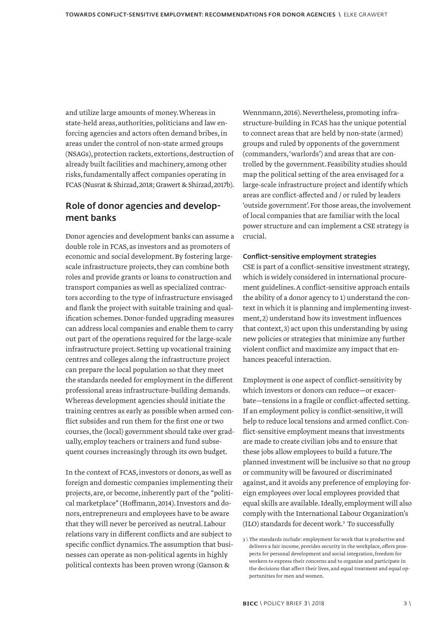and utilize large amounts of money. Whereas in state-held areas, authorities, politicians and law enforcing agencies and actors often demand bribes, in areas under the control of non-state armed groups (NSAGs), protection rackets, extortions, destruction of already built facilities and machinery, among other risks, fundamentally affect companies operating in FCAS (Nusrat & Shirzad, 2018; Grawert & Shirzad, 2017b).

#### Role of donor agencies and development banks

Donor agencies and development banks can assume a double role in FCAS, as investors and as promoters of economic and social development. By fostering largescale infrastructure projects, they can combine both roles and provide grants or loans to construction and transport companies as well as specialized contractors according to the type of infrastructure envisaged and flank the project with suitable training and qualification schemes. Donor-funded upgrading measures can address local companies and enable them to carry out part of the operations required for the large-scale infrastructure project. Setting up vocational training centres and colleges along the infrastructure project can prepare the local population so that they meet the standards needed for employment in the different professional areas infrastructure-building demands. Whereas development agencies should initiate the training centres as early as possible when armed conflict subsides and run them for the first one or two courses, the (local) government should take over gradually, employ teachers or trainers and fund subsequent courses increasingly through its own budget.

In the context of FCAS, investors or donors, as well as foreign and domestic companies implementing their projects, are, or become, inherently part of the "political marketplace" (Hoffmann, 2014). Investors and donors, entrepreneurs and employees have to be aware that they will never be perceived as neutral. Labour relations vary in different conflicts and are subject to specific conflict dynamics. The assumption that businesses can operate as non-political agents in highly political contexts has been proven wrong (Ganson &

Wennmann, 2016). Nevertheless, promoting infrastructure-building in FCAS has the unique potential to connect areas that are held by non-state (armed) groups and ruled by opponents of the government (commanders, 'warlords') and areas that are controlled by the government. Feasibility studies should map the political setting of the area envisaged for a large-scale infrastructure project and identify which areas are conflict-affected and / or ruled by leaders 'outside government'. For those areas, the involvement of local companies that are familiar with the local power structure and can implement a CSE strategy is crucial.

#### Conflict-sensitive employment strategies

CSE is part of a conflict-sensitive investment strategy, which is widely considered in international procurement guidelines. A conflict-sensitive approach entails the ability of a donor agency to 1) understand the context in which it is planning and implementing investment, 2) understand how its investment influences that context, 3) act upon this understanding by using new policies or strategies that minimize any further violent conflict and maximize any impact that enhances peaceful interaction.

Employment is one aspect of conflict-sensitivity by which investors or donors can reduce—or exacerbate—tensions in a fragile or conflict-affected setting. If an employment policy is conflict-sensitive, it will help to reduce local tensions and armed conflict. Conflict-sensitive employment means that investments are made to create civilian jobs and to ensure that these jobs allow employees to build a future. The planned investment will be inclusive so that no group or community will be favoured or discriminated against, and it avoids any preference of employing foreign employees over local employees provided that equal skills are available. Ideally, employment will also comply with the International Labour Organization's (ILO) standards for decent work.3 To successfully

<sup>3 \</sup> The standards include: employment for work that is productive and delivers a fair income, provides security in the workplace, offers prospects for personal development and social integration, freedom for workers to express their concerns and to organize and participate in the decisions that affect their lives, and equal treatment and equal opportunities for men and women.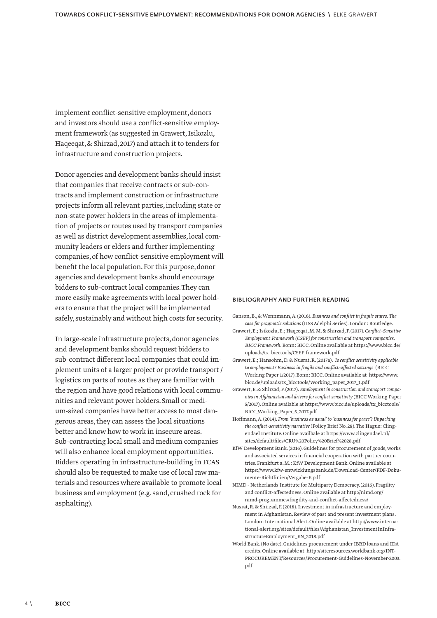implement conflict-sensitive employment, donors and investors should use a conflict-sensitive employment framework (as suggested in Grawert, Isikozlu, Haqeeqat, & Shirzad, 2017) and attach it to tenders for infrastructure and construction projects.

Donor agencies and development banks should insist that companies that receive contracts or sub-contracts and implement construction or infrastructure projects inform all relevant parties, including state or non-state power holders in the areas of implementation of projects or routes used by transport companies as well as district development assemblies, local community leaders or elders and further implementing companies, of how conflict-sensitive employment will benefit the local population. For this purpose, donor agencies and development banks should encourage bidders to sub-contract local companies. They can more easily make agreements with local power holders to ensure that the project will be implemented safely, sustainably and without high costs for security.

In large-scale infrastructure projects, donor agencies and development banks should request bidders to sub-contract different local companies that could implement units of a larger project or provide transport / logistics on parts of routes as they are familiar with the region and have good relations with local communities and relevant power holders. Small or medium-sized companies have better access to most dangerous areas, they can assess the local situations better and know how to work in insecure areas. Sub-contracting local small and medium companies will also enhance local employment opportunities. Bidders operating in infrastructure-building in FCAS should also be requested to make use of local raw materials and resources where available to promote local business and employment (e.g. sand, crushed rock for asphalting).

#### BIBLIOGRAPHY AND FURTHER READING

- Ganson, B., & Wennmann, A. (2016). *Business and conflict in fragile states. The case for pragmatic solutions* (IISS Adelphi Series). London: Routledge.
- Grawert, E.; Isikozlu, E.; Haqeeqat, M. M. & Shirzad, F. (2017). *Conflict-Sensitive Employment Framework (CSEF) for construction and transport companies. BICC Framework.* Bonn: BICC. Online available at https://www.bicc.de/ uploads/tx\_bicctools/CSEF\_framework.pdf
- Grawert, E.; Hansohm, D. & Nusrat, R. (2017a). *Is conflict sensitivity applicable to employment? Business in fragile and conflict-affected settings* (BICC Working Paper 1/2017). Bonn: BICC. Online available at https://www. bicc.de/uploads/tx\_bicctools/Working\_paper\_2017\_1.pdf
- Grawert, E. & Shirzad, F. (2017). *Employment in construction and transport companies in Afghanistan and drivers for conflict sensitivity* (BICC Working Paper 5/2017). Online available at https://www.bicc.de/uploads/tx\_bicctools/ BICC\_Working\_Paper\_5\_2017.pdf
- Hoffmann, A. (2014). *From 'business as usual' to 'business for peace'? Unpacking the conflict-sensitivity narrative* (Policy Brief No. 28). The Hague: Clingendael Institute. Online availbale at https://www.clingendael.nl/ sites/default/files/CRU%20Policy%20Brief%2028.pdf
- KfW Development Bank. (2016). Guidelines for procurement of goods, works and associated services in financial cooperation with partner countries. Frankfurt a. M.: KfW Development Bank. Online available at https://www.kfw-entwicklungsbank.de/Download-Center/PDF-Dokumente-Richtlinien/Vergabe-E.pdf
- NIMD Netherlands Institute for Multiparty Democracy. (2016). Fragility and conflict-affectedness. Online available at http://nimd.org/ nimd-programmes/fragility-and-conflict-affectedness/
- Nusrat, R. & Shirzad, F. (2018). Investment in infrastructure and employment in Afghanistan. Review of past and present investment plans. London: International Alert. Online available at http://www.international-alert.org/sites/default/files/Afghanistan\_InvestmentInInfrastructureEmployment\_EN\_2018.pdf
- World Bank. (No date). Guidelines procurement under IBRD loans and IDA credits. Online available at http://siteresources.worldbank.org/INT-PROCUREMENT/Resources/Procurement-Guidelines-November-2003. pdf